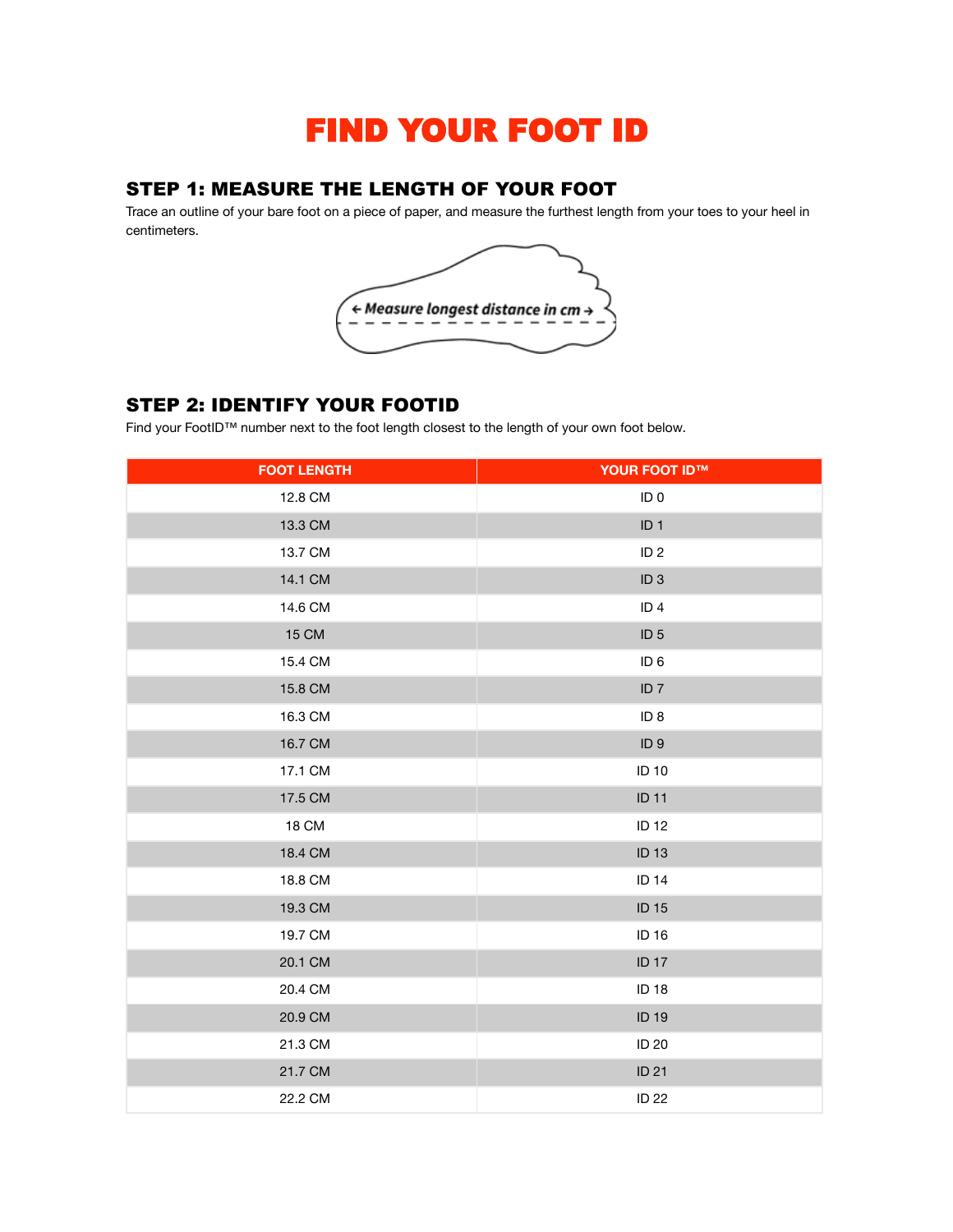# FIND YOUR FOOT ID

## STEP 1: MEASURE THE LENGTH OF YOUR FOOT

Trace an outline of your bare foot on a piece of paper, and measure the furthest length from your toes to your heel in centimeters.



# STEP 2: IDENTIFY YOUR FOOTID

Find your FootID™ number next to the foot length closest to the length of your own foot below.

| <b>FOOT LENGTH</b> | <b>YOUR FOOT ID™</b> |
|--------------------|----------------------|
| 12.8 CM            | ID <sub>0</sub>      |
| 13.3 CM            | ID <sub>1</sub>      |
| 13.7 CM            | ID <sub>2</sub>      |
| 14.1 CM            | ID <sub>3</sub>      |
| 14.6 CM            | ID <sub>4</sub>      |
| <b>15 CM</b>       | ID <sub>5</sub>      |
| 15.4 CM            | ID <sub>6</sub>      |
| 15.8 CM            | ID <sub>7</sub>      |
| 16.3 CM            | ID <sub>8</sub>      |
| 16.7 CM            | ID <sub>9</sub>      |
| 17.1 CM            | <b>ID 10</b>         |
| 17.5 CM            | <b>ID 11</b>         |
| <b>18 CM</b>       | <b>ID 12</b>         |
| 18.4 CM            | <b>ID 13</b>         |
| 18.8 CM            | <b>ID 14</b>         |
| 19.3 CM            | <b>ID 15</b>         |
| 19.7 CM            | ID 16                |
| 20.1 CM            | <b>ID 17</b>         |
| 20.4 CM            | <b>ID 18</b>         |
| 20.9 CM            | <b>ID 19</b>         |
| 21.3 CM            | <b>ID 20</b>         |
| 21.7 CM            | <b>ID 21</b>         |
| 22.2 CM            | <b>ID 22</b>         |